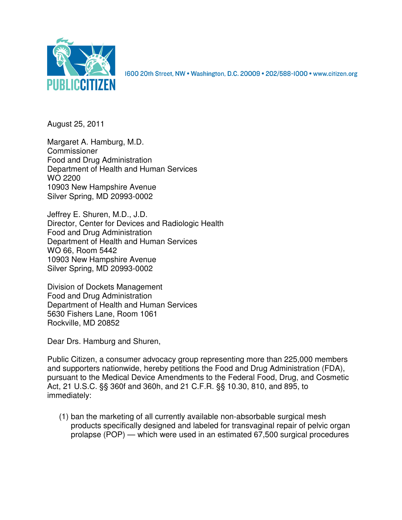

1600 20th Street, NW • Washington, D.C. 20009 • 202/588-1000 • www.citizen.org

August 25, 2011

Margaret A. Hamburg, M.D. **Commissioner** Food and Drug Administration Department of Health and Human Services WO 2200 10903 New Hampshire Avenue Silver Spring, MD 20993-0002

Jeffrey E. Shuren, M.D., J.D. Director, Center for Devices and Radiologic Health Food and Drug Administration Department of Health and Human Services WO 66, Room 5442 10903 New Hampshire Avenue Silver Spring, MD 20993-0002

Division of Dockets Management Food and Drug Administration Department of Health and Human Services 5630 Fishers Lane, Room 1061 Rockville, MD 20852

Dear Drs. Hamburg and Shuren,

Public Citizen, a consumer advocacy group representing more than 225,000 members and supporters nationwide, hereby petitions the Food and Drug Administration (FDA), pursuant to the Medical Device Amendments to the Federal Food, Drug, and Cosmetic Act, 21 U.S.C. §§ 360f and 360h, and 21 C.F.R. §§ 10.30, 810, and 895, to immediately:

(1) ban the marketing of all currently available non-absorbable surgical mesh products specifically designed and labeled for transvaginal repair of pelvic organ prolapse (POP) — which were used in an estimated 67,500 surgical procedures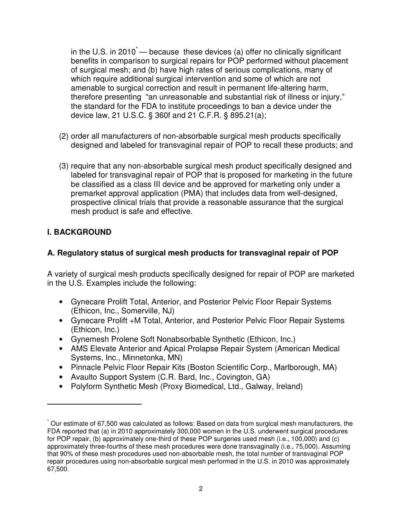in the U.S. in 2010<sup>\*</sup> — because these devices (a) offer no clinically significant benefits in comparison to surgical repairs for POP performed without placement of surgical mesh; and (b) have high rates of serious complications, many of which require additional surgical intervention and some of which are not amenable to surgical correction and result in permanent life-altering harm, therefore presenting "an unreasonable and substantial risk of illness or injury," the standard for the FDA to institute proceedings to ban a device under the device law, 21 U.S.C. § 360f and 21 C.F.R. § 895.21(a);

- (2) order all manufacturers of non-absorbable surgical mesh products specifically designed and labeled for transvaginal repair of POP to recall these products; and
- (3) require that any non-absorbable surgical mesh product specifically designed and labeled for transvaginal repair of POP that is proposed for marketing in the future be classified as a class III device and be approved for marketing only under a premarket approval application (PMA) that includes data from well-designed, prospective clinical trials that provide a reasonable assurance that the surgical mesh product is safe and effective.

# **I. BACKGROUND**

l

## **A. Regulatory status of surgical mesh products for transvaginal repair of POP**

A variety of surgical mesh products specifically designed for repair of POP are marketed in the U.S. Examples include the following:

- Gynecare Prolift Total, Anterior, and Posterior Pelvic Floor Repair Systems (Ethicon, Inc., Somerville, NJ)
- Gynecare Prolift +M Total, Anterior, and Posterior Pelvic Floor Repair Systems (Ethicon, Inc.)
- Gynemesh Prolene Soft Nonabsorbable Synthetic (Ethicon, Inc.)
- AMS Elevate Anterior and Apical Prolapse Repair System (American Medical Systems, Inc., Minnetonka, MN)
- Pinnacle Pelvic Floor Repair Kits (Boston Scientific Corp., Marlborough, MA)
- Avaulto Support System (C.R. Bard, Inc., Covington, GA)
- Polyform Synthetic Mesh (Proxy Biomedical, Ltd., Galway, Ireland)

<sup>\*</sup> Our estimate of 67,500 was calculated as follows: Based on data from surgical mesh manufacturers, the FDA reported that (a) in 2010 approximately 300,000 women in the U.S. underwent surgical procedures for POP repair, (b) approximately one-third of these POP surgeries used mesh (i.e., 100,000) and (c) approximately three-fourths of these mesh procedures were done transvaginally (i.e., 75,000). Assuming that 90% of these mesh procedures used non-absorbable mesh, the total number of transvaginal POP repair procedures using non-absorbable surgical mesh performed in the U.S. in 2010 was approximately 67,500.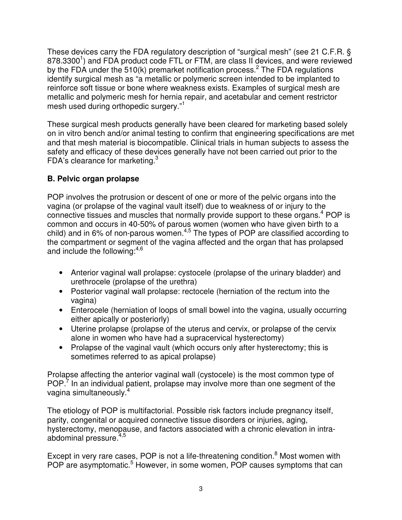These devices carry the FDA regulatory description of "surgical mesh" (see 21 C.F.R. § 878.3300<sup>1</sup>) and FDA product code FTL or FTM, are class II devices, and were reviewed by the FDA under the 510(k) premarket notification process.<sup>2</sup> The FDA regulations identify surgical mesh as "a metallic or polymeric screen intended to be implanted to reinforce soft tissue or bone where weakness exists. Examples of surgical mesh are metallic and polymeric mesh for hernia repair, and acetabular and cement restrictor mesh used during orthopedic surgery."<sup>1</sup>

These surgical mesh products generally have been cleared for marketing based solely on in vitro bench and/or animal testing to confirm that engineering specifications are met and that mesh material is biocompatible. Clinical trials in human subjects to assess the safety and efficacy of these devices generally have not been carried out prior to the FDA's clearance for marketing. $3$ 

# **B. Pelvic organ prolapse**

POP involves the protrusion or descent of one or more of the pelvic organs into the vagina (or prolapse of the vaginal vault itself) due to weakness of or injury to the connective tissues and muscles that normally provide support to these organs.<sup>4</sup> POP is common and occurs in 40-50% of parous women (women who have given birth to a child) and in 6% of non-parous women.<sup>4,5</sup> The types of POP are classified according to the compartment or segment of the vagina affected and the organ that has prolapsed and include the following: $4,6$ 

- Anterior vaginal wall prolapse: cystocele (prolapse of the urinary bladder) and urethrocele (prolapse of the urethra)
- Posterior vaginal wall prolapse: rectocele (herniation of the rectum into the vagina)
- Enterocele (herniation of loops of small bowel into the vagina, usually occurring either apically or posteriorly)
- Uterine prolapse (prolapse of the uterus and cervix, or prolapse of the cervix alone in women who have had a supracervical hysterectomy)
- Prolapse of the vaginal vault (which occurs only after hysterectomy; this is sometimes referred to as apical prolapse)

Prolapse affecting the anterior vaginal wall (cystocele) is the most common type of POP.<sup>7</sup> In an individual patient, prolapse may involve more than one segment of the vagina simultaneously.<sup>4</sup>

The etiology of POP is multifactorial. Possible risk factors include pregnancy itself, parity, congenital or acquired connective tissue disorders or injuries, aging, hysterectomy, menopause, and factors associated with a chronic elevation in intraabdominal pressure.<sup>4,5</sup>

Except in very rare cases, POP is not a life-threatening condition.<sup>8</sup> Most women with POP are asymptomatic.<sup>5</sup> However, in some women, POP causes symptoms that can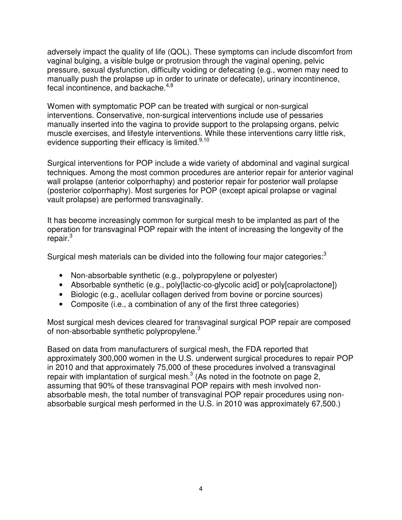adversely impact the quality of life (QOL). These symptoms can include discomfort from vaginal bulging, a visible bulge or protrusion through the vaginal opening, pelvic pressure, sexual dysfunction, difficulty voiding or defecating (e.g., women may need to manually push the prolapse up in order to urinate or defecate), urinary incontinence, fecal incontinence, and backache. $4,8$ 

Women with symptomatic POP can be treated with surgical or non-surgical interventions. Conservative, non-surgical interventions include use of pessaries manually inserted into the vagina to provide support to the prolapsing organs, pelvic muscle exercises, and lifestyle interventions. While these interventions carry little risk, evidence supporting their efficacy is limited.<sup>9,10</sup>

Surgical interventions for POP include a wide variety of abdominal and vaginal surgical techniques. Among the most common procedures are anterior repair for anterior vaginal wall prolapse (anterior colporrhaphy) and posterior repair for posterior wall prolapse (posterior colporrhaphy). Most surgeries for POP (except apical prolapse or vaginal vault prolapse) are performed transvaginally.

It has become increasingly common for surgical mesh to be implanted as part of the operation for transvaginal POP repair with the intent of increasing the longevity of the repair.<sup>3</sup>

Surgical mesh materials can be divided into the following four major categories:<sup>3</sup>

- Non-absorbable synthetic (e.g., polypropylene or polyester)
- Absorbable synthetic (e.g., poly[lactic-co-glycolic acid] or poly[caprolactone])
- Biologic (e.g., acellular collagen derived from bovine or porcine sources)
- Composite (i.e., a combination of any of the first three categories)

Most surgical mesh devices cleared for transvaginal surgical POP repair are composed of non-absorbable synthetic polypropylene.<sup>3</sup>

Based on data from manufacturers of surgical mesh, the FDA reported that approximately 300,000 women in the U.S. underwent surgical procedures to repair POP in 2010 and that approximately 75,000 of these procedures involved a transvaginal repair with implantation of surgical mesh. $3$  (As noted in the footnote on page 2, assuming that 90% of these transvaginal POP repairs with mesh involved nonabsorbable mesh, the total number of transvaginal POP repair procedures using nonabsorbable surgical mesh performed in the U.S. in 2010 was approximately 67,500.)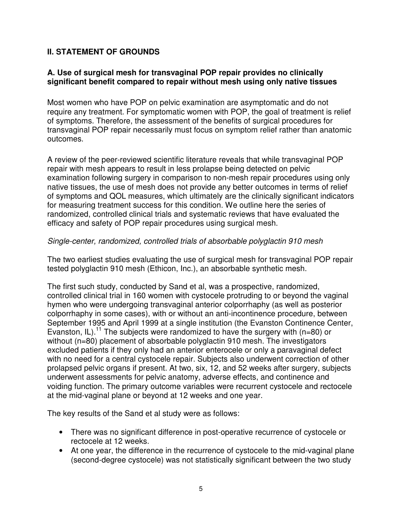## **II. STATEMENT OF GROUNDS**

## **A. Use of surgical mesh for transvaginal POP repair provides no clinically significant benefit compared to repair without mesh using only native tissues**

Most women who have POP on pelvic examination are asymptomatic and do not require any treatment. For symptomatic women with POP, the goal of treatment is relief of symptoms. Therefore, the assessment of the benefits of surgical procedures for transvaginal POP repair necessarily must focus on symptom relief rather than anatomic outcomes.

A review of the peer-reviewed scientific literature reveals that while transvaginal POP repair with mesh appears to result in less prolapse being detected on pelvic examination following surgery in comparison to non-mesh repair procedures using only native tissues, the use of mesh does not provide any better outcomes in terms of relief of symptoms and QOL measures, which ultimately are the clinically significant indicators for measuring treatment success for this condition. We outline here the series of randomized, controlled clinical trials and systematic reviews that have evaluated the efficacy and safety of POP repair procedures using surgical mesh.

#### Single-center, randomized, controlled trials of absorbable polyglactin 910 mesh

The two earliest studies evaluating the use of surgical mesh for transvaginal POP repair tested polyglactin 910 mesh (Ethicon, Inc.), an absorbable synthetic mesh.

The first such study, conducted by Sand et al, was a prospective, randomized, controlled clinical trial in 160 women with cystocele protruding to or beyond the vaginal hymen who were undergoing transvaginal anterior colporrhaphy (as well as posterior colporrhaphy in some cases), with or without an anti-incontinence procedure, between September 1995 and April 1999 at a single institution (the Evanston Continence Center, Evanston, IL).<sup>11</sup> The subjects were randomized to have the surgery with (n=80) or without (n=80) placement of absorbable polyglactin 910 mesh. The investigators excluded patients if they only had an anterior enterocele or only a paravaginal defect with no need for a central cystocele repair. Subjects also underwent correction of other prolapsed pelvic organs if present. At two, six, 12, and 52 weeks after surgery, subjects underwent assessments for pelvic anatomy, adverse effects, and continence and voiding function. The primary outcome variables were recurrent cystocele and rectocele at the mid-vaginal plane or beyond at 12 weeks and one year.

The key results of the Sand et al study were as follows:

- There was no significant difference in post-operative recurrence of cystocele or rectocele at 12 weeks.
- At one year, the difference in the recurrence of cystocele to the mid-vaginal plane (second-degree cystocele) was not statistically significant between the two study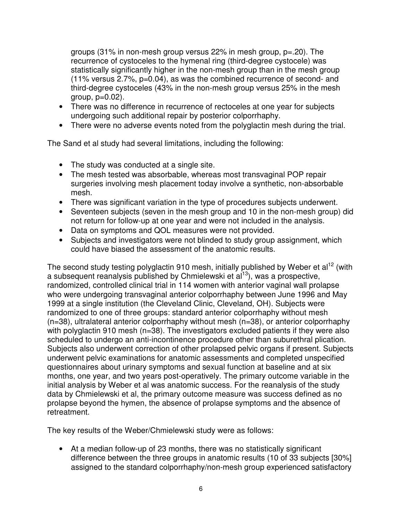groups (31% in non-mesh group versus 22% in mesh group, p=.20). The recurrence of cystoceles to the hymenal ring (third-degree cystocele) was statistically significantly higher in the non-mesh group than in the mesh group (11% versus 2.7%, p=0.04), as was the combined recurrence of second- and third-degree cystoceles (43% in the non-mesh group versus 25% in the mesh group,  $p=0.02$ ).

- There was no difference in recurrence of rectoceles at one year for subjects undergoing such additional repair by posterior colporrhaphy.
- There were no adverse events noted from the polyglactin mesh during the trial.

The Sand et al study had several limitations, including the following:

- The study was conducted at a single site.
- The mesh tested was absorbable, whereas most transvaginal POP repair surgeries involving mesh placement today involve a synthetic, non-absorbable mesh.
- There was significant variation in the type of procedures subjects underwent.
- Seventeen subjects (seven in the mesh group and 10 in the non-mesh group) did not return for follow-up at one year and were not included in the analysis.
- Data on symptoms and QOL measures were not provided.
- Subjects and investigators were not blinded to study group assignment, which could have biased the assessment of the anatomic results.

The second study testing polyglactin 910 mesh, initially published by Weber et al<sup>12</sup> (with a subsequent reanalysis published by Chmielewski et  $a^{13}$ ), was a prospective, randomized, controlled clinical trial in 114 women with anterior vaginal wall prolapse who were undergoing transvaginal anterior colporrhaphy between June 1996 and May 1999 at a single institution (the Cleveland Clinic, Cleveland, OH). Subjects were randomized to one of three groups: standard anterior colporrhaphy without mesh (n=38), ultralateral anterior colporrhaphy without mesh (n=38), or anterior colporrhaphy with polyglactin 910 mesh (n=38). The investigators excluded patients if they were also scheduled to undergo an anti-incontinence procedure other than suburethral plication. Subjects also underwent correction of other prolapsed pelvic organs if present. Subjects underwent pelvic examinations for anatomic assessments and completed unspecified questionnaires about urinary symptoms and sexual function at baseline and at six months, one year, and two years post-operatively. The primary outcome variable in the initial analysis by Weber et al was anatomic success. For the reanalysis of the study data by Chmielewski et al, the primary outcome measure was success defined as no prolapse beyond the hymen, the absence of prolapse symptoms and the absence of retreatment.

The key results of the Weber/Chmielewski study were as follows:

• At a median follow-up of 23 months, there was no statistically significant difference between the three groups in anatomic results (10 of 33 subjects [30%] assigned to the standard colporrhaphy/non-mesh group experienced satisfactory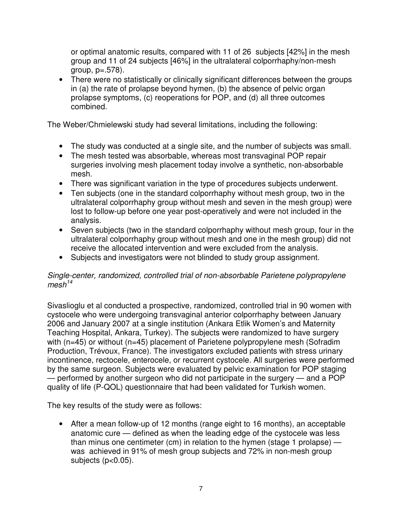or optimal anatomic results, compared with 11 of 26 subjects [42%] in the mesh group and 11 of 24 subjects [46%] in the ultralateral colporrhaphy/non-mesh group, p=.578).

• There were no statistically or clinically significant differences between the groups in (a) the rate of prolapse beyond hymen, (b) the absence of pelvic organ prolapse symptoms, (c) reoperations for POP, and (d) all three outcomes combined.

The Weber/Chmielewski study had several limitations, including the following:

- The study was conducted at a single site, and the number of subjects was small.
- The mesh tested was absorbable, whereas most transvaginal POP repair surgeries involving mesh placement today involve a synthetic, non-absorbable mesh.
- There was significant variation in the type of procedures subjects underwent.
- Ten subjects (one in the standard colporrhaphy without mesh group, two in the ultralateral colporrhaphy group without mesh and seven in the mesh group) were lost to follow-up before one year post-operatively and were not included in the analysis.
- Seven subjects (two in the standard colporrhaphy without mesh group, four in the ultralateral colporrhaphy group without mesh and one in the mesh group) did not receive the allocated intervention and were excluded from the analysis.
- Subjects and investigators were not blinded to study group assignment.

## Single-center, randomized, controlled trial of non-absorbable Parietene polypropylene  $mesh<sup>14</sup>$

Sivaslioglu et al conducted a prospective, randomized, controlled trial in 90 women with cystocele who were undergoing transvaginal anterior colporrhaphy between January 2006 and January 2007 at a single institution (Ankara Etlik Women's and Maternity Teaching Hospital, Ankara, Turkey). The subjects were randomized to have surgery with (n=45) or without (n=45) placement of Parietene polypropylene mesh (Sofradim Production, Trévoux, France). The investigators excluded patients with stress urinary incontinence, rectocele, enterocele, or recurrent cystocele. All surgeries were performed by the same surgeon. Subjects were evaluated by pelvic examination for POP staging  $-$  performed by another surgeon who did not participate in the surgery  $-$  and a POP quality of life (P-QOL) questionnaire that had been validated for Turkish women.

The key results of the study were as follows:

• After a mean follow-up of 12 months (range eight to 16 months), an acceptable anatomic cure — defined as when the leading edge of the cystocele was less than minus one centimeter (cm) in relation to the hymen (stage 1 prolapse) was achieved in 91% of mesh group subjects and 72% in non-mesh group subjects (p<0.05).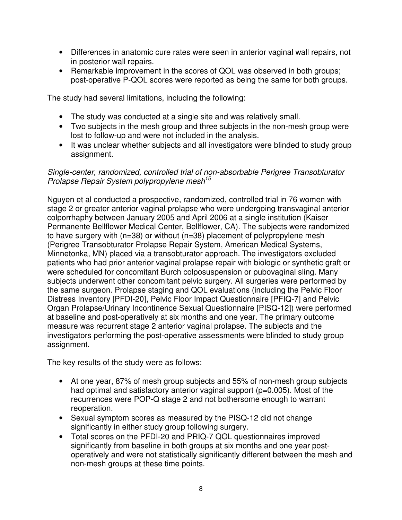- Differences in anatomic cure rates were seen in anterior vaginal wall repairs, not in posterior wall repairs.
- Remarkable improvement in the scores of QOL was observed in both groups; post-operative P-QOL scores were reported as being the same for both groups.

The study had several limitations, including the following:

- The study was conducted at a single site and was relatively small.
- Two subjects in the mesh group and three subjects in the non-mesh group were lost to follow-up and were not included in the analysis.
- It was unclear whether subjects and all investigators were blinded to study group assignment.

### Single-center, randomized, controlled trial of non-absorbable Perigree Transobturator Prolapse Repair System polypropylene mesh<sup>15</sup>

Nguyen et al conducted a prospective, randomized, controlled trial in 76 women with stage 2 or greater anterior vaginal prolapse who were undergoing transvaginal anterior colporrhaphy between January 2005 and April 2006 at a single institution (Kaiser Permanente Bellflower Medical Center, Bellflower, CA). The subjects were randomized to have surgery with ( $n=38$ ) or without ( $n=38$ ) placement of polypropylene mesh (Perigree Transobturator Prolapse Repair System, American Medical Systems, Minnetonka, MN) placed via a transobturator approach. The investigators excluded patients who had prior anterior vaginal prolapse repair with biologic or synthetic graft or were scheduled for concomitant Burch colposuspension or pubovaginal sling. Many subjects underwent other concomitant pelvic surgery. All surgeries were performed by the same surgeon. Prolapse staging and QOL evaluations (including the Pelvic Floor Distress Inventory [PFDI-20], Pelvic Floor Impact Questionnaire [PFIQ-7] and Pelvic Organ Prolapse/Urinary Incontinence Sexual Questionnaire [PISQ-12]) were performed at baseline and post-operatively at six months and one year. The primary outcome measure was recurrent stage 2 anterior vaginal prolapse. The subjects and the investigators performing the post-operative assessments were blinded to study group assignment.

- At one year, 87% of mesh group subjects and 55% of non-mesh group subjects had optimal and satisfactory anterior vaginal support (p=0.005). Most of the recurrences were POP-Q stage 2 and not bothersome enough to warrant reoperation.
- Sexual symptom scores as measured by the PISQ-12 did not change significantly in either study group following surgery.
- Total scores on the PFDI-20 and PRIQ-7 QOL questionnaires improved significantly from baseline in both groups at six months and one year postoperatively and were not statistically significantly different between the mesh and non-mesh groups at these time points.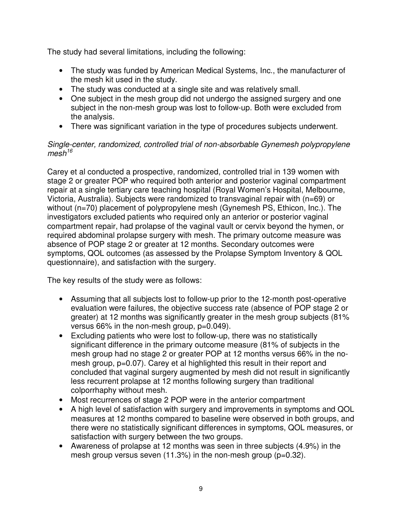The study had several limitations, including the following:

- The study was funded by American Medical Systems, Inc., the manufacturer of the mesh kit used in the study.
- The study was conducted at a single site and was relatively small.
- One subject in the mesh group did not undergo the assigned surgery and one subject in the non-mesh group was lost to follow-up. Both were excluded from the analysis.
- There was significant variation in the type of procedures subjects underwent.

#### Single-center, randomized, controlled trial of non-absorbable Gynemesh polypropylene  $mesh^{16}$

Carey et al conducted a prospective, randomized, controlled trial in 139 women with stage 2 or greater POP who required both anterior and posterior vaginal compartment repair at a single tertiary care teaching hospital (Royal Women's Hospital, Melbourne, Victoria, Australia). Subjects were randomized to transvaginal repair with (n=69) or without (n=70) placement of polypropylene mesh (Gynemesh PS, Ethicon, Inc.). The investigators excluded patients who required only an anterior or posterior vaginal compartment repair, had prolapse of the vaginal vault or cervix beyond the hymen, or required abdominal prolapse surgery with mesh. The primary outcome measure was absence of POP stage 2 or greater at 12 months. Secondary outcomes were symptoms, QOL outcomes (as assessed by the Prolapse Symptom Inventory & QOL questionnaire), and satisfaction with the surgery.

- Assuming that all subjects lost to follow-up prior to the 12-month post-operative evaluation were failures, the objective success rate (absence of POP stage 2 or greater) at 12 months was significantly greater in the mesh group subjects (81% versus 66% in the non-mesh group, p=0.049).
- Excluding patients who were lost to follow-up, there was no statistically significant difference in the primary outcome measure (81% of subjects in the mesh group had no stage 2 or greater POP at 12 months versus 66% in the nomesh group,  $p=0.07$ ). Carey et al highlighted this result in their report and concluded that vaginal surgery augmented by mesh did not result in significantly less recurrent prolapse at 12 months following surgery than traditional colporrhaphy without mesh.
- Most recurrences of stage 2 POP were in the anterior compartment
- A high level of satisfaction with surgery and improvements in symptoms and QOL measures at 12 months compared to baseline were observed in both groups, and there were no statistically significant differences in symptoms, QOL measures, or satisfaction with surgery between the two groups.
- Awareness of prolapse at 12 months was seen in three subjects (4.9%) in the mesh group versus seven (11.3%) in the non-mesh group (p=0.32).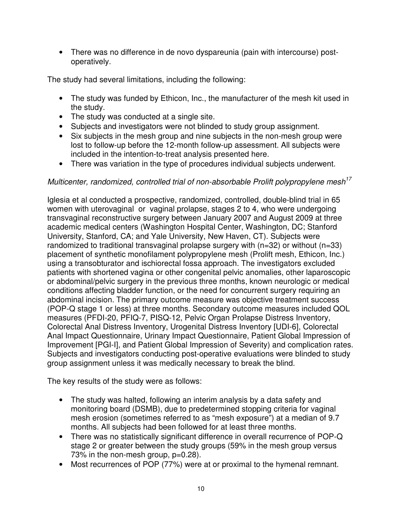• There was no difference in de novo dyspareunia (pain with intercourse) postoperatively.

The study had several limitations, including the following:

- The study was funded by Ethicon, Inc., the manufacturer of the mesh kit used in the study.
- The study was conducted at a single site.
- Subjects and investigators were not blinded to study group assignment.
- Six subjects in the mesh group and nine subjects in the non-mesh group were lost to follow-up before the 12-month follow-up assessment. All subjects were included in the intention-to-treat analysis presented here.
- There was variation in the type of procedures individual subjects underwent.

# Multicenter, randomized, controlled trial of non-absorbable Prolift polypropylene mesh<sup>17</sup>

Iglesia et al conducted a prospective, randomized, controlled, double-blind trial in 65 women with uterovaginal or vaginal prolapse, stages 2 to 4, who were undergoing transvaginal reconstructive surgery between January 2007 and August 2009 at three academic medical centers (Washington Hospital Center, Washington, DC; Stanford University, Stanford, CA; and Yale University, New Haven, CT). Subjects were randomized to traditional transvaginal prolapse surgery with (n=32) or without (n=33) placement of synthetic monofilament polypropylene mesh (Prolift mesh, Ethicon, Inc.) using a transobturator and ischiorectal fossa approach. The investigators excluded patients with shortened vagina or other congenital pelvic anomalies, other laparoscopic or abdominal/pelvic surgery in the previous three months, known neurologic or medical conditions affecting bladder function, or the need for concurrent surgery requiring an abdominal incision. The primary outcome measure was objective treatment success (POP-Q stage 1 or less) at three months. Secondary outcome measures included QOL measures (PFDI-20, PFIQ-7, PISQ-12, Pelvic Organ Prolapse Distress Inventory, Colorectal Anal Distress Inventory, Urogenital Distress Inventory [UDI-6], Colorectal Anal Impact Questionnaire, Urinary Impact Questionnaire, Patient Global Impression of Improvement [PGI-I], and Patient Global Impression of Severity) and complication rates. Subjects and investigators conducting post-operative evaluations were blinded to study group assignment unless it was medically necessary to break the blind.

- The study was halted, following an interim analysis by a data safety and monitoring board (DSMB), due to predetermined stopping criteria for vaginal mesh erosion (sometimes referred to as "mesh exposure") at a median of 9.7 months. All subjects had been followed for at least three months.
- There was no statistically significant difference in overall recurrence of POP-Q stage 2 or greater between the study groups (59% in the mesh group versus 73% in the non-mesh group, p=0.28).
- Most recurrences of POP (77%) were at or proximal to the hymenal remnant.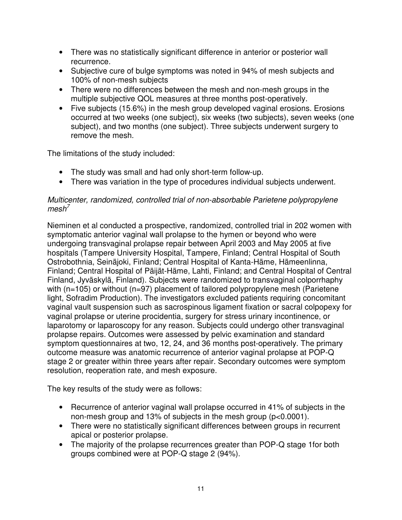- There was no statistically significant difference in anterior or posterior wall recurrence.
- Subjective cure of bulge symptoms was noted in 94% of mesh subjects and 100% of non-mesh subjects
- There were no differences between the mesh and non-mesh groups in the multiple subjective QOL measures at three months post-operatively.
- Five subjects (15.6%) in the mesh group developed vaginal erosions. Erosions occurred at two weeks (one subject), six weeks (two subjects), seven weeks (one subject), and two months (one subject). Three subjects underwent surgery to remove the mesh.

The limitations of the study included:

- The study was small and had only short-term follow-up.
- There was variation in the type of procedures individual subjects underwent.

## Multicenter, randomized, controlled trial of non-absorbable Parietene polypropylene  $mesh'$

Nieminen et al conducted a prospective, randomized, controlled trial in 202 women with symptomatic anterior vaginal wall prolapse to the hymen or beyond who were undergoing transvaginal prolapse repair between April 2003 and May 2005 at five hospitals (Tampere University Hospital, Tampere, Finland; Central Hospital of South Ostrobothnia, Seinäjoki, Finland; Central Hospital of Kanta-Häme, Hämeenlinna, Finland; Central Hospital of Päijät-Häme, Lahti, Finland; and Central Hospital of Central Finland, Jyväskylä, Finland). Subjects were randomized to transvaginal colporrhaphy with (n=105) or without (n=97) placement of tailored polypropylene mesh (Parietene light, Sofradim Production). The investigators excluded patients requiring concomitant vaginal vault suspension such as sacrospinous ligament fixation or sacral colpopexy for vaginal prolapse or uterine procidentia, surgery for stress urinary incontinence, or laparotomy or laparoscopy for any reason. Subjects could undergo other transvaginal prolapse repairs. Outcomes were assessed by pelvic examination and standard symptom questionnaires at two, 12, 24, and 36 months post-operatively. The primary outcome measure was anatomic recurrence of anterior vaginal prolapse at POP-Q stage 2 or greater within three years after repair. Secondary outcomes were symptom resolution, reoperation rate, and mesh exposure.

- Recurrence of anterior vaginal wall prolapse occurred in 41% of subjects in the non-mesh group and 13% of subjects in the mesh group (p<0.0001).
- There were no statistically significant differences between groups in recurrent apical or posterior prolapse.
- The majority of the prolapse recurrences greater than POP-Q stage 1 for both groups combined were at POP-Q stage 2 (94%).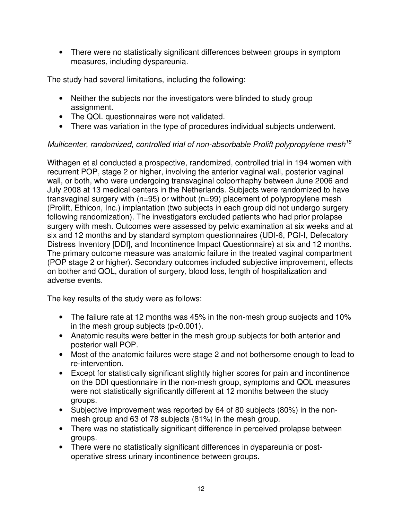• There were no statistically significant differences between groups in symptom measures, including dyspareunia.

The study had several limitations, including the following:

- Neither the subjects nor the investigators were blinded to study group assignment.
- The QOL questionnaires were not validated.
- There was variation in the type of procedures individual subjects underwent.

## Multicenter, randomized, controlled trial of non-absorbable Prolift polypropylene mesh<sup>18</sup>

Withagen et al conducted a prospective, randomized, controlled trial in 194 women with recurrent POP, stage 2 or higher, involving the anterior vaginal wall, posterior vaginal wall, or both, who were undergoing transvaginal colporrhaphy between June 2006 and July 2008 at 13 medical centers in the Netherlands. Subjects were randomized to have transvaginal surgery with (n=95) or without (n=99) placement of polypropylene mesh (Prolift, Ethicon, Inc.) implantation (two subjects in each group did not undergo surgery following randomization). The investigators excluded patients who had prior prolapse surgery with mesh. Outcomes were assessed by pelvic examination at six weeks and at six and 12 months and by standard symptom questionnaires (UDI-6, PGI-I, Defecatory Distress Inventory [DDI], and Incontinence Impact Questionnaire) at six and 12 months. The primary outcome measure was anatomic failure in the treated vaginal compartment (POP stage 2 or higher). Secondary outcomes included subjective improvement, effects on bother and QOL, duration of surgery, blood loss, length of hospitalization and adverse events.

- The failure rate at 12 months was 45% in the non-mesh group subjects and 10% in the mesh group subjects  $(p<0.001)$ .
- Anatomic results were better in the mesh group subjects for both anterior and posterior wall POP.
- Most of the anatomic failures were stage 2 and not bothersome enough to lead to re-intervention.
- Except for statistically significant slightly higher scores for pain and incontinence on the DDI questionnaire in the non-mesh group, symptoms and QOL measures were not statistically significantly different at 12 months between the study groups.
- Subjective improvement was reported by 64 of 80 subjects (80%) in the nonmesh group and 63 of 78 subjects (81%) in the mesh group.
- There was no statistically significant difference in perceived prolapse between groups.
- There were no statistically significant differences in dyspareunia or postoperative stress urinary incontinence between groups.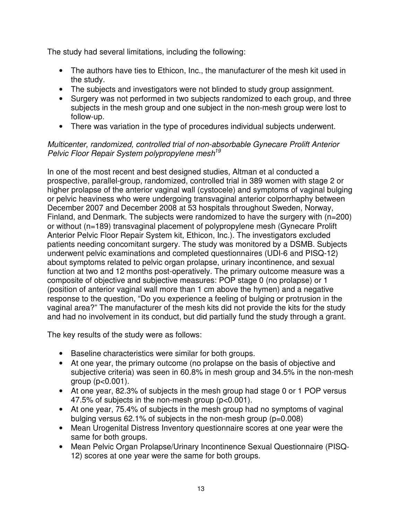The study had several limitations, including the following:

- The authors have ties to Ethicon, Inc., the manufacturer of the mesh kit used in the study.
- The subjects and investigators were not blinded to study group assignment.
- Surgery was not performed in two subiects randomized to each group, and three subjects in the mesh group and one subject in the non-mesh group were lost to follow-up.
- There was variation in the type of procedures individual subjects underwent.

## Multicenter, randomized, controlled trial of non-absorbable Gynecare Prolift Anterior Pelvic Floor Repair System polypropylene mesh<sup>19</sup>

In one of the most recent and best designed studies, Altman et al conducted a prospective, parallel-group, randomized, controlled trial in 389 women with stage 2 or higher prolapse of the anterior vaginal wall (cystocele) and symptoms of vaginal bulging or pelvic heaviness who were undergoing transvaginal anterior colporrhaphy between December 2007 and December 2008 at 53 hospitals throughout Sweden, Norway, Finland, and Denmark. The subjects were randomized to have the surgery with (n=200) or without (n=189) transvaginal placement of polypropylene mesh (Gynecare Prolift Anterior Pelvic Floor Repair System kit, Ethicon, Inc.). The investigators excluded patients needing concomitant surgery. The study was monitored by a DSMB. Subjects underwent pelvic examinations and completed questionnaires (UDI-6 and PISQ-12) about symptoms related to pelvic organ prolapse, urinary incontinence, and sexual function at two and 12 months post-operatively. The primary outcome measure was a composite of objective and subjective measures: POP stage 0 (no prolapse) or 1 (position of anterior vaginal wall more than 1 cm above the hymen) and a negative response to the question, "Do you experience a feeling of bulging or protrusion in the vaginal area?" The manufacturer of the mesh kits did not provide the kits for the study and had no involvement in its conduct, but did partially fund the study through a grant.

- Baseline characteristics were similar for both groups.
- At one year, the primary outcome (no prolapse on the basis of objective and subjective criteria) was seen in 60.8% in mesh group and 34.5% in the non-mesh group (p<0.001).
- At one year, 82.3% of subjects in the mesh group had stage 0 or 1 POP versus 47.5% of subjects in the non-mesh group (p<0.001).
- At one year, 75.4% of subjects in the mesh group had no symptoms of vaginal bulging versus 62.1% of subjects in the non-mesh group (p=0.008)
- Mean Urogenital Distress Inventory questionnaire scores at one year were the same for both groups.
- Mean Pelvic Organ Prolapse/Urinary Incontinence Sexual Questionnaire (PISQ-12) scores at one year were the same for both groups.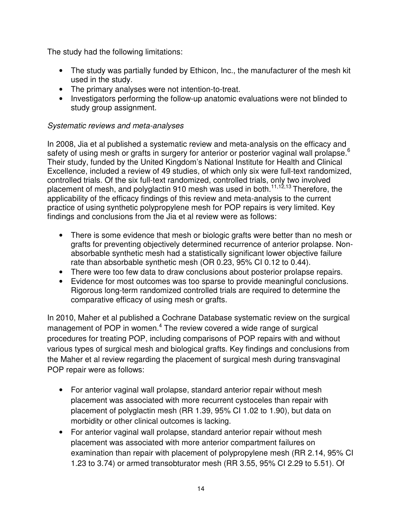The study had the following limitations:

- The study was partially funded by Ethicon, Inc., the manufacturer of the mesh kit used in the study.
- The primary analyses were not intention-to-treat.
- Investigators performing the follow-up anatomic evaluations were not blinded to study group assignment.

## Systematic reviews and meta-analyses

In 2008, Jia et al published a systematic review and meta-analysis on the efficacy and safety of using mesh or grafts in surgery for anterior or posterior vaginal wall prolapse.<sup>6</sup> Their study, funded by the United Kingdom's National Institute for Health and Clinical Excellence, included a review of 49 studies, of which only six were full-text randomized, controlled trials. Of the six full-text randomized, controlled trials, only two involved placement of mesh, and polyglactin 910 mesh was used in both.<sup>11,12,13</sup> Therefore, the applicability of the efficacy findings of this review and meta-analysis to the current practice of using synthetic polypropylene mesh for POP repairs is very limited. Key findings and conclusions from the Jia et al review were as follows:

- There is some evidence that mesh or biologic grafts were better than no mesh or grafts for preventing objectively determined recurrence of anterior prolapse. Nonabsorbable synthetic mesh had a statistically significant lower objective failure rate than absorbable synthetic mesh (OR 0.23, 95% CI 0.12 to 0.44).
- There were too few data to draw conclusions about posterior prolapse repairs.
- Evidence for most outcomes was too sparse to provide meaningful conclusions. Rigorous long-term randomized controlled trials are required to determine the comparative efficacy of using mesh or grafts.

In 2010, Maher et al published a Cochrane Database systematic review on the surgical management of POP in women.<sup>4</sup> The review covered a wide range of surgical procedures for treating POP, including comparisons of POP repairs with and without various types of surgical mesh and biological grafts. Key findings and conclusions from the Maher et al review regarding the placement of surgical mesh during transvaginal POP repair were as follows:

- For anterior vaginal wall prolapse, standard anterior repair without mesh placement was associated with more recurrent cystoceles than repair with placement of polyglactin mesh (RR 1.39, 95% CI 1.02 to 1.90), but data on morbidity or other clinical outcomes is lacking.
- For anterior vaginal wall prolapse, standard anterior repair without mesh placement was associated with more anterior compartment failures on examination than repair with placement of polypropylene mesh (RR 2.14, 95% CI 1.23 to 3.74) or armed transobturator mesh (RR 3.55, 95% CI 2.29 to 5.51). Of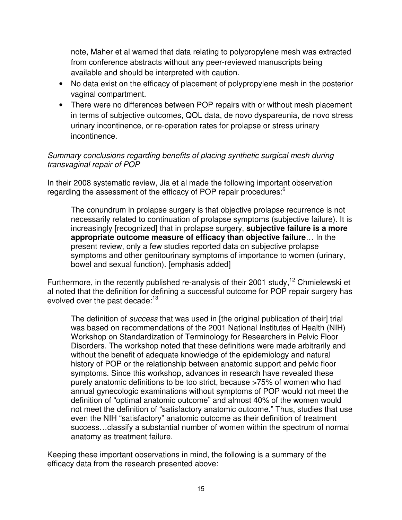note, Maher et al warned that data relating to polypropylene mesh was extracted from conference abstracts without any peer-reviewed manuscripts being available and should be interpreted with caution.

- No data exist on the efficacy of placement of polypropylene mesh in the posterior vaginal compartment.
- There were no differences between POP repairs with or without mesh placement in terms of subjective outcomes, QOL data, de novo dyspareunia, de novo stress urinary incontinence, or re-operation rates for prolapse or stress urinary incontinence.

#### Summary conclusions regarding benefits of placing synthetic surgical mesh during transvaginal repair of POP

In their 2008 systematic review, Jia et al made the following important observation regarding the assessment of the efficacy of POP repair procedures:<sup>6</sup>

The conundrum in prolapse surgery is that objective prolapse recurrence is not necessarily related to continuation of prolapse symptoms (subjective failure). It is increasingly [recognized] that in prolapse surgery, **subjective failure is a more appropriate outcome measure of efficacy than objective failure**… In the present review, only a few studies reported data on subjective prolapse symptoms and other genitourinary symptoms of importance to women (urinary, bowel and sexual function). [emphasis added]

Furthermore, in the recently published re-analysis of their 2001 study,<sup>12</sup> Chmielewski et al noted that the definition for defining a successful outcome for POP repair surgery has evolved over the past decade: $13$ 

The definition of *success* that was used in [the original publication of their] trial was based on recommendations of the 2001 National Institutes of Health (NIH) Workshop on Standardization of Terminology for Researchers in Pelvic Floor Disorders. The workshop noted that these definitions were made arbitrarily and without the benefit of adequate knowledge of the epidemiology and natural history of POP or the relationship between anatomic support and pelvic floor symptoms. Since this workshop, advances in research have revealed these purely anatomic definitions to be too strict, because >75% of women who had annual gynecologic examinations without symptoms of POP would not meet the definition of "optimal anatomic outcome" and almost 40% of the women would not meet the definition of "satisfactory anatomic outcome." Thus, studies that use even the NIH "satisfactory" anatomic outcome as their definition of treatment success…classify a substantial number of women within the spectrum of normal anatomy as treatment failure.

Keeping these important observations in mind, the following is a summary of the efficacy data from the research presented above: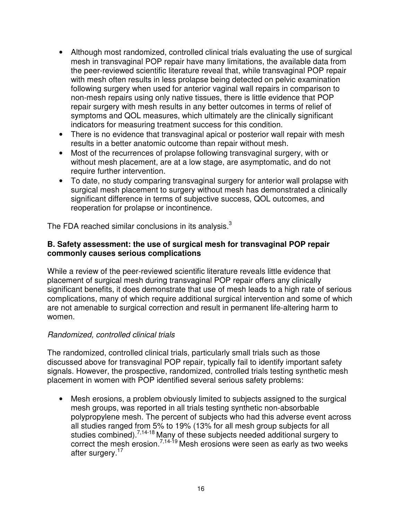- Although most randomized, controlled clinical trials evaluating the use of surgical mesh in transvaginal POP repair have many limitations, the available data from the peer-reviewed scientific literature reveal that, while transvaginal POP repair with mesh often results in less prolapse being detected on pelvic examination following surgery when used for anterior vaginal wall repairs in comparison to non-mesh repairs using only native tissues, there is little evidence that POP repair surgery with mesh results in any better outcomes in terms of relief of symptoms and QOL measures, which ultimately are the clinically significant indicators for measuring treatment success for this condition.
- There is no evidence that transvaginal apical or posterior wall repair with mesh results in a better anatomic outcome than repair without mesh.
- Most of the recurrences of prolapse following transvaginal surgery, with or without mesh placement, are at a low stage, are asymptomatic, and do not require further intervention.
- To date, no study comparing transvaginal surgery for anterior wall prolapse with surgical mesh placement to surgery without mesh has demonstrated a clinically significant difference in terms of subjective success, QOL outcomes, and reoperation for prolapse or incontinence.

The FDA reached similar conclusions in its analysis. $3$ 

### **B. Safety assessment: the use of surgical mesh for transvaginal POP repair commonly causes serious complications**

While a review of the peer-reviewed scientific literature reveals little evidence that placement of surgical mesh during transvaginal POP repair offers any clinically significant benefits, it does demonstrate that use of mesh leads to a high rate of serious complications, many of which require additional surgical intervention and some of which are not amenable to surgical correction and result in permanent life-altering harm to women.

## Randomized, controlled clinical trials

The randomized, controlled clinical trials, particularly small trials such as those discussed above for transvaginal POP repair, typically fail to identify important safety signals. However, the prospective, randomized, controlled trials testing synthetic mesh placement in women with POP identified several serious safety problems:

• Mesh erosions, a problem obviously limited to subjects assigned to the surgical mesh groups, was reported in all trials testing synthetic non-absorbable polypropylene mesh. The percent of subjects who had this adverse event across all studies ranged from 5% to 19% (13% for all mesh group subjects for all studies combined).<sup>7,14-18</sup> Many of these subjects needed additional surgery to correct the mesh erosion.<sup>7,14-19</sup> Mesh erosions were seen as early as two weeks after surgery.<sup>17</sup>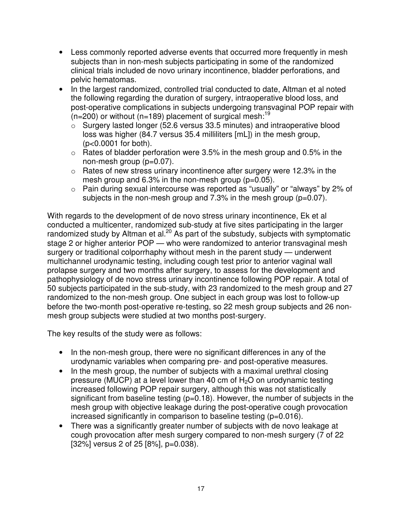- Less commonly reported adverse events that occurred more frequently in mesh subjects than in non-mesh subjects participating in some of the randomized clinical trials included de novo urinary incontinence, bladder perforations, and pelvic hematomas.
- In the largest randomized, controlled trial conducted to date, Altman et al noted the following regarding the duration of surgery, intraoperative blood loss, and post-operative complications in subjects undergoing transvaginal POP repair with (n=200) or without (n=189) placement of surgical mesh: $^{19}$ 
	- o Surgery lasted longer (52.6 versus 33.5 minutes) and intraoperative blood loss was higher (84.7 versus 35.4 milliliters [mL]) in the mesh group, (p<0.0001 for both).
	- $\circ$  Rates of bladder perforation were 3.5% in the mesh group and 0.5% in the non-mesh group (p=0.07).
	- $\circ$  Rates of new stress urinary incontinence after surgery were 12.3% in the mesh group and  $6.3\%$  in the non-mesh group ( $p=0.05$ ).
	- o Pain during sexual intercourse was reported as "usually" or "always" by 2% of subjects in the non-mesh group and 7.3% in the mesh group (p=0.07).

With regards to the development of de novo stress urinary incontinence, Ek et al conducted a multicenter, randomized sub-study at five sites participating in the larger randomized study by Altman et al.<sup>20</sup> As part of the substudy, subjects with symptomatic stage 2 or higher anterior POP — who were randomized to anterior transvaginal mesh surgery or traditional colporrhaphy without mesh in the parent study — underwent multichannel urodynamic testing, including cough test prior to anterior vaginal wall prolapse surgery and two months after surgery, to assess for the development and pathophysiology of de novo stress urinary incontinence following POP repair. A total of 50 subjects participated in the sub-study, with 23 randomized to the mesh group and 27 randomized to the non-mesh group. One subject in each group was lost to follow-up before the two-month post-operative re-testing, so 22 mesh group subjects and 26 nonmesh group subjects were studied at two months post-surgery.

- In the non-mesh group, there were no significant differences in any of the urodynamic variables when comparing pre- and post-operative measures.
- In the mesh group, the number of subjects with a maximal urethral closing pressure (MUCP) at a level lower than 40 cm of  $H_2O$  on urodynamic testing increased following POP repair surgery, although this was not statistically significant from baseline testing (p=0.18). However, the number of subjects in the mesh group with objective leakage during the post-operative cough provocation increased significantly in comparison to baseline testing (p=0.016).
- There was a significantly greater number of subjects with de novo leakage at cough provocation after mesh surgery compared to non-mesh surgery (7 of 22 [32%] versus 2 of 25 [8%], p=0.038).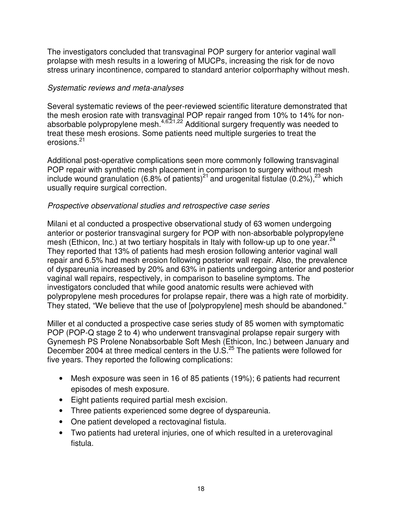The investigators concluded that transvaginal POP surgery for anterior vaginal wall prolapse with mesh results in a lowering of MUCPs, increasing the risk for de novo stress urinary incontinence, compared to standard anterior colporrhaphy without mesh.

## Systematic reviews and meta-analyses

Several systematic reviews of the peer-reviewed scientific literature demonstrated that the mesh erosion rate with transvaginal POP repair ranged from 10% to 14% for nonabsorbable polypropylene mesh.  $4,6,21,22$  Additional surgery frequently was needed to treat these mesh erosions. Some patients need multiple surgeries to treat the erosions.<sup>21</sup>

Additional post-operative complications seen more commonly following transvaginal POP repair with synthetic mesh placement in comparison to surgery without mesh include wound granulation (6.8% of patients)<sup>21</sup> and urogenital fistulae (0.2%),<sup>23</sup> which usually require surgical correction.

## Prospective observational studies and retrospective case series

Milani et al conducted a prospective observational study of 63 women undergoing anterior or posterior transvaginal surgery for POP with non-absorbable polypropylene mesh (Ethicon, Inc.) at two tertiary hospitals in Italy with follow-up up to one year.<sup>24</sup> They reported that 13% of patients had mesh erosion following anterior vaginal wall repair and 6.5% had mesh erosion following posterior wall repair. Also, the prevalence of dyspareunia increased by 20% and 63% in patients undergoing anterior and posterior vaginal wall repairs, respectively, in comparison to baseline symptoms. The investigators concluded that while good anatomic results were achieved with polypropylene mesh procedures for prolapse repair, there was a high rate of morbidity. They stated, "We believe that the use of [polypropylene] mesh should be abandoned."

Miller et al conducted a prospective case series study of 85 women with symptomatic POP (POP-Q stage 2 to 4) who underwent transvaginal prolapse repair surgery with Gynemesh PS Prolene Nonabsorbable Soft Mesh (Ethicon, Inc.) between January and December 2004 at three medical centers in the U.S.<sup>25</sup> The patients were followed for five years. They reported the following complications:

- Mesh exposure was seen in 16 of 85 patients (19%); 6 patients had recurrent episodes of mesh exposure.
- Eight patients required partial mesh excision.
- Three patients experienced some degree of dyspareunia.
- One patient developed a rectovaginal fistula.
- Two patients had ureteral injuries, one of which resulted in a ureterovaginal fistula.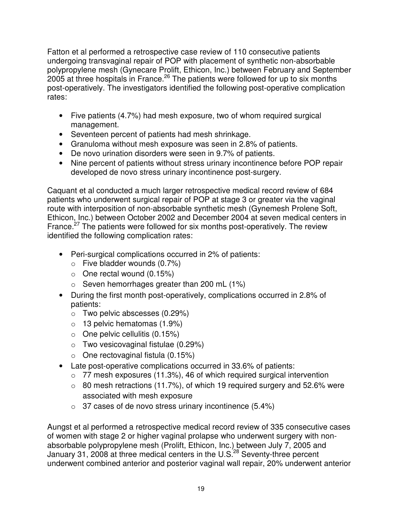Fatton et al performed a retrospective case review of 110 consecutive patients undergoing transvaginal repair of POP with placement of synthetic non-absorbable polypropylene mesh (Gynecare Prolift, Ethicon, Inc.) between February and September 2005 at three hospitals in France.<sup>26</sup> The patients were followed for up to six months post-operatively. The investigators identified the following post-operative complication rates:

- Five patients (4.7%) had mesh exposure, two of whom required surgical management.
- Seventeen percent of patients had mesh shrinkage.
- Granuloma without mesh exposure was seen in 2.8% of patients.
- De novo urination disorders were seen in 9.7% of patients.
- Nine percent of patients without stress urinary incontinence before POP repair developed de novo stress urinary incontinence post-surgery.

Caquant et al conducted a much larger retrospective medical record review of 684 patients who underwent surgical repair of POP at stage 3 or greater via the vaginal route with interposition of non-absorbable synthetic mesh (Gynemesh Prolene Soft, Ethicon, Inc.) between October 2002 and December 2004 at seven medical centers in France.<sup>27</sup> The patients were followed for six months post-operatively. The review identified the following complication rates:

- Peri-surgical complications occurred in 2% of patients:
	- $\circ$  Five bladder wounds  $(0.7\%)$
	- $\circ$  One rectal wound (0.15%)
	- o Seven hemorrhages greater than 200 mL (1%)
- During the first month post-operatively, complications occurred in 2.8% of patients:
	- $\circ$  Two pelvic abscesses (0.29%)
	- $\circ$  13 pelvic hematomas (1.9%)
	- $\circ$  One pelvic cellulitis (0.15%)
	- o Two vesicovaginal fistulae (0.29%)
	- $\circ$  One rectovaginal fistula (0.15%)
- Late post-operative complications occurred in 33.6% of patients:
	- $\circ$  77 mesh exposures (11.3%), 46 of which required surgical intervention
	- $\circ$  80 mesh retractions (11.7%), of which 19 required surgery and 52.6% were associated with mesh exposure
	- $\circ$  37 cases of de novo stress urinary incontinence (5.4%)

Aungst et al performed a retrospective medical record review of 335 consecutive cases of women with stage 2 or higher vaginal prolapse who underwent surgery with nonabsorbable polypropylene mesh (Prolift, Ethicon, Inc.) between July 7, 2005 and January 31, 2008 at three medical centers in the U.S.<sup>28</sup> Seventy-three percent underwent combined anterior and posterior vaginal wall repair, 20% underwent anterior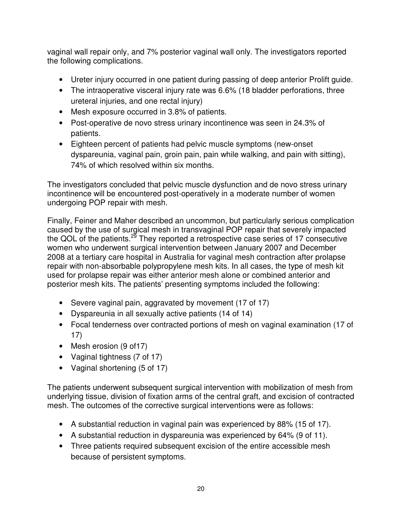vaginal wall repair only, and 7% posterior vaginal wall only. The investigators reported the following complications.

- Ureter injury occurred in one patient during passing of deep anterior Prolift guide.
- The intraoperative visceral injury rate was 6.6% (18 bladder perforations, three ureteral injuries, and one rectal injury)
- Mesh exposure occurred in 3.8% of patients.
- Post-operative de novo stress urinary incontinence was seen in 24.3% of patients.
- Eighteen percent of patients had pelvic muscle symptoms (new-onset dyspareunia, vaginal pain, groin pain, pain while walking, and pain with sitting), 74% of which resolved within six months.

The investigators concluded that pelvic muscle dysfunction and de novo stress urinary incontinence will be encountered post-operatively in a moderate number of women undergoing POP repair with mesh.

Finally, Feiner and Maher described an uncommon, but particularly serious complication caused by the use of surgical mesh in transvaginal POP repair that severely impacted the QOL of the patients.<sup>29</sup> They reported a retrospective case series of 17 consecutive women who underwent surgical intervention between January 2007 and December 2008 at a tertiary care hospital in Australia for vaginal mesh contraction after prolapse repair with non-absorbable polypropylene mesh kits. In all cases, the type of mesh kit used for prolapse repair was either anterior mesh alone or combined anterior and posterior mesh kits. The patients' presenting symptoms included the following:

- Severe vaginal pain, aggravated by movement (17 of 17)
- Dyspareunia in all sexually active patients (14 of 14)
- Focal tenderness over contracted portions of mesh on vaginal examination (17 of 17)
- Mesh erosion (9 of 17)
- Vaginal tightness (7 of 17)
- Vaginal shortening (5 of 17)

The patients underwent subsequent surgical intervention with mobilization of mesh from underlying tissue, division of fixation arms of the central graft, and excision of contracted mesh. The outcomes of the corrective surgical interventions were as follows:

- A substantial reduction in vaginal pain was experienced by 88% (15 of 17).
- A substantial reduction in dyspareunia was experienced by 64% (9 of 11).
- Three patients required subsequent excision of the entire accessible mesh because of persistent symptoms.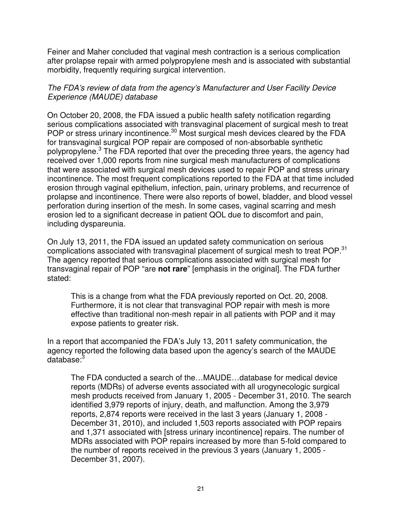Feiner and Maher concluded that vaginal mesh contraction is a serious complication after prolapse repair with armed polypropylene mesh and is associated with substantial morbidity, frequently requiring surgical intervention.

### The FDA's review of data from the agency's Manufacturer and User Facility Device Experience (MAUDE) database

On October 20, 2008, the FDA issued a public health safety notification regarding serious complications associated with transvaginal placement of surgical mesh to treat POP or stress urinary incontinence.<sup>30</sup> Most surgical mesh devices cleared by the FDA for transvaginal surgical POP repair are composed of non-absorbable synthetic polypropylene.<sup>3</sup> The FDA reported that over the preceding three years, the agency had received over 1,000 reports from nine surgical mesh manufacturers of complications that were associated with surgical mesh devices used to repair POP and stress urinary incontinence. The most frequent complications reported to the FDA at that time included erosion through vaginal epithelium, infection, pain, urinary problems, and recurrence of prolapse and incontinence. There were also reports of bowel, bladder, and blood vessel perforation during insertion of the mesh. In some cases, vaginal scarring and mesh erosion led to a significant decrease in patient QOL due to discomfort and pain, including dyspareunia.

On July 13, 2011, the FDA issued an updated safety communication on serious complications associated with transvaginal placement of surgical mesh to treat POP.<sup>31</sup> The agency reported that serious complications associated with surgical mesh for transvaginal repair of POP "are **not rare**" [emphasis in the original]. The FDA further stated:

This is a change from what the FDA previously reported on Oct. 20, 2008. Furthermore, it is not clear that transvaginal POP repair with mesh is more effective than traditional non-mesh repair in all patients with POP and it may expose patients to greater risk.

In a report that accompanied the FDA's July 13, 2011 safety communication, the agency reported the following data based upon the agency's search of the MAUDE database:<sup>3</sup>

The FDA conducted a search of the…MAUDE…database for medical device reports (MDRs) of adverse events associated with all urogynecologic surgical mesh products received from January 1, 2005 - December 31, 2010. The search identified 3,979 reports of injury, death, and malfunction. Among the 3,979 reports, 2,874 reports were received in the last 3 years (January 1, 2008 - December 31, 2010), and included 1,503 reports associated with POP repairs and 1,371 associated with [stress urinary incontinence] repairs. The number of MDRs associated with POP repairs increased by more than 5-fold compared to the number of reports received in the previous 3 years (January 1, 2005 - December 31, 2007).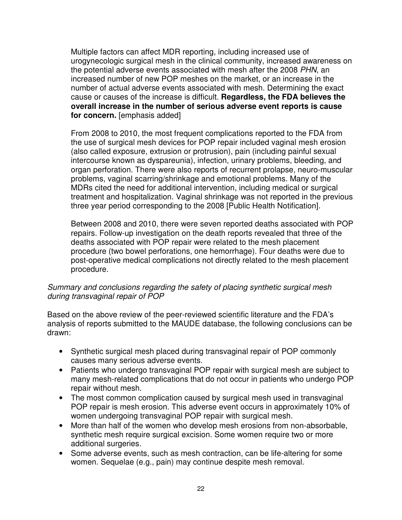Multiple factors can affect MDR reporting, including increased use of urogynecologic surgical mesh in the clinical community, increased awareness on the potential adverse events associated with mesh after the 2008 PHN, an increased number of new POP meshes on the market, or an increase in the number of actual adverse events associated with mesh. Determining the exact cause or causes of the increase is difficult. **Regardless, the FDA believes the overall increase in the number of serious adverse event reports is cause for concern.** [emphasis added]

From 2008 to 2010, the most frequent complications reported to the FDA from the use of surgical mesh devices for POP repair included vaginal mesh erosion (also called exposure, extrusion or protrusion), pain (including painful sexual intercourse known as dyspareunia), infection, urinary problems, bleeding, and organ perforation. There were also reports of recurrent prolapse, neuro-muscular problems, vaginal scarring/shrinkage and emotional problems. Many of the MDRs cited the need for additional intervention, including medical or surgical treatment and hospitalization. Vaginal shrinkage was not reported in the previous three year period corresponding to the 2008 [Public Health Notification].

Between 2008 and 2010, there were seven reported deaths associated with POP repairs. Follow-up investigation on the death reports revealed that three of the deaths associated with POP repair were related to the mesh placement procedure (two bowel perforations, one hemorrhage). Four deaths were due to post-operative medical complications not directly related to the mesh placement procedure.

#### Summary and conclusions regarding the safety of placing synthetic surgical mesh during transvaginal repair of POP

Based on the above review of the peer-reviewed scientific literature and the FDA's analysis of reports submitted to the MAUDE database, the following conclusions can be drawn:

- Synthetic surgical mesh placed during transvaginal repair of POP commonly causes many serious adverse events.
- Patients who undergo transvaginal POP repair with surgical mesh are subject to many mesh-related complications that do not occur in patients who undergo POP repair without mesh.
- The most common complication caused by surgical mesh used in transvaginal POP repair is mesh erosion. This adverse event occurs in approximately 10% of women undergoing transvaginal POP repair with surgical mesh.
- More than half of the women who develop mesh erosions from non-absorbable, synthetic mesh require surgical excision. Some women require two or more additional surgeries.
- Some adverse events, such as mesh contraction, can be life-altering for some women. Sequelae (e.g., pain) may continue despite mesh removal.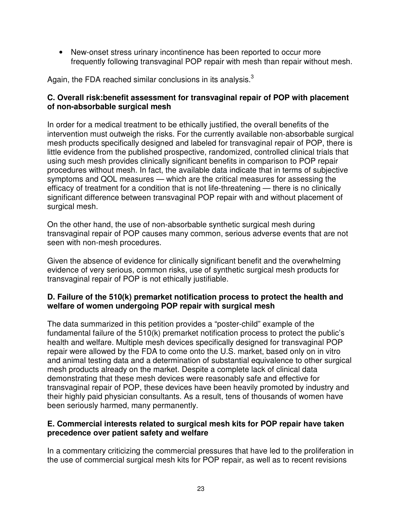• New-onset stress urinary incontinence has been reported to occur more frequently following transvaginal POP repair with mesh than repair without mesh.

Again, the FDA reached similar conclusions in its analysis. $3$ 

### **C. Overall risk:benefit assessment for transvaginal repair of POP with placement of non-absorbable surgical mesh**

In order for a medical treatment to be ethically justified, the overall benefits of the intervention must outweigh the risks. For the currently available non-absorbable surgical mesh products specifically designed and labeled for transvaginal repair of POP, there is little evidence from the published prospective, randomized, controlled clinical trials that using such mesh provides clinically significant benefits in comparison to POP repair procedures without mesh. In fact, the available data indicate that in terms of subjective symptoms and QOL measures — which are the critical measures for assessing the efficacy of treatment for a condition that is not life-threatening — there is no clinically significant difference between transvaginal POP repair with and without placement of surgical mesh.

On the other hand, the use of non-absorbable synthetic surgical mesh during transvaginal repair of POP causes many common, serious adverse events that are not seen with non-mesh procedures.

Given the absence of evidence for clinically significant benefit and the overwhelming evidence of very serious, common risks, use of synthetic surgical mesh products for transvaginal repair of POP is not ethically justifiable.

## **D. Failure of the 510(k) premarket notification process to protect the health and welfare of women undergoing POP repair with surgical mesh**

The data summarized in this petition provides a "poster-child" example of the fundamental failure of the 510(k) premarket notification process to protect the public's health and welfare. Multiple mesh devices specifically designed for transvaginal POP repair were allowed by the FDA to come onto the U.S. market, based only on in vitro and animal testing data and a determination of substantial equivalence to other surgical mesh products already on the market. Despite a complete lack of clinical data demonstrating that these mesh devices were reasonably safe and effective for transvaginal repair of POP, these devices have been heavily promoted by industry and their highly paid physician consultants. As a result, tens of thousands of women have been seriously harmed, many permanently.

#### **E. Commercial interests related to surgical mesh kits for POP repair have taken precedence over patient safety and welfare**

In a commentary criticizing the commercial pressures that have led to the proliferation in the use of commercial surgical mesh kits for POP repair, as well as to recent revisions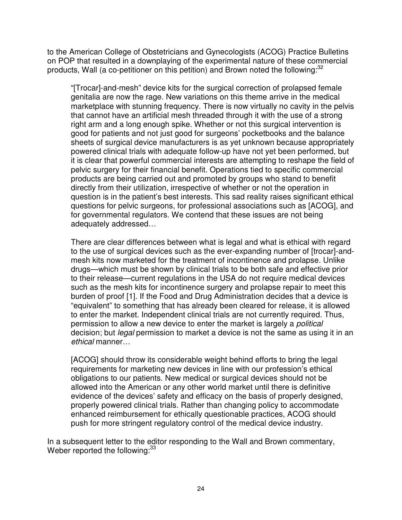to the American College of Obstetricians and Gynecologists (ACOG) Practice Bulletins on POP that resulted in a downplaying of the experimental nature of these commercial products, Wall (a co-petitioner on this petition) and Brown noted the following:  $32$ 

"[Trocar]-and-mesh" device kits for the surgical correction of prolapsed female genitalia are now the rage. New variations on this theme arrive in the medical marketplace with stunning frequency. There is now virtually no cavity in the pelvis that cannot have an artificial mesh threaded through it with the use of a strong right arm and a long enough spike. Whether or not this surgical intervention is good for patients and not just good for surgeons' pocketbooks and the balance sheets of surgical device manufacturers is as yet unknown because appropriately powered clinical trials with adequate follow-up have not yet been performed, but it is clear that powerful commercial interests are attempting to reshape the field of pelvic surgery for their financial benefit. Operations tied to specific commercial products are being carried out and promoted by groups who stand to benefit directly from their utilization, irrespective of whether or not the operation in question is in the patient's best interests. This sad reality raises significant ethical questions for pelvic surgeons, for professional associations such as [ACOG], and for governmental regulators. We contend that these issues are not being adequately addressed…

There are clear differences between what is legal and what is ethical with regard to the use of surgical devices such as the ever-expanding number of [trocar]-andmesh kits now marketed for the treatment of incontinence and prolapse. Unlike drugs—which must be shown by clinical trials to be both safe and effective prior to their release—current regulations in the USA do not require medical devices such as the mesh kits for incontinence surgery and prolapse repair to meet this burden of proof [1]. If the Food and Drug Administration decides that a device is "equivalent" to something that has already been cleared for release, it is allowed to enter the market. Independent clinical trials are not currently required. Thus, permission to allow a new device to enter the market is largely a political decision; but *legal* permission to market a device is not the same as using it in an ethical manner…

[ACOG] should throw its considerable weight behind efforts to bring the legal requirements for marketing new devices in line with our profession's ethical obligations to our patients. New medical or surgical devices should not be allowed into the American or any other world market until there is definitive evidence of the devices' safety and efficacy on the basis of properly designed, properly powered clinical trials. Rather than changing policy to accommodate enhanced reimbursement for ethically questionable practices, ACOG should push for more stringent regulatory control of the medical device industry.

In a subsequent letter to the editor responding to the Wall and Brown commentary, Weber reported the following: 33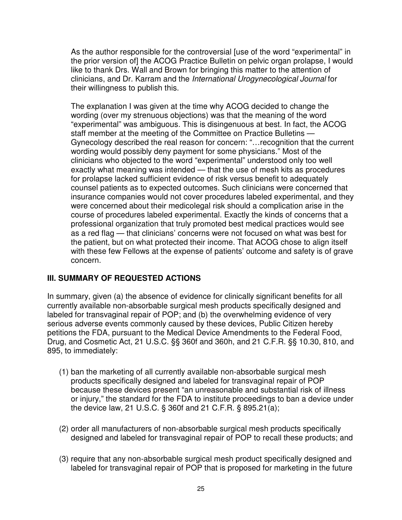As the author responsible for the controversial [use of the word "experimental" in the prior version of] the ACOG Practice Bulletin on pelvic organ prolapse, I would like to thank Drs. Wall and Brown for bringing this matter to the attention of clinicians, and Dr. Karram and the International Urogynecological Journal for their willingness to publish this.

The explanation I was given at the time why ACOG decided to change the wording (over my strenuous objections) was that the meaning of the word "experimental" was ambiguous. This is disingenuous at best. In fact, the ACOG staff member at the meeting of the Committee on Practice Bulletins — Gynecology described the real reason for concern: "…recognition that the current wording would possibly deny payment for some physicians." Most of the clinicians who objected to the word "experimental" understood only too well exactly what meaning was intended — that the use of mesh kits as procedures for prolapse lacked sufficient evidence of risk versus benefit to adequately counsel patients as to expected outcomes. Such clinicians were concerned that insurance companies would not cover procedures labeled experimental, and they were concerned about their medicolegal risk should a complication arise in the course of procedures labeled experimental. Exactly the kinds of concerns that a professional organization that truly promoted best medical practices would see as a red flag — that clinicians' concerns were not focused on what was best for the patient, but on what protected their income. That ACOG chose to align itself with these few Fellows at the expense of patients' outcome and safety is of grave concern.

## **III. SUMMARY OF REQUESTED ACTIONS**

In summary, given (a) the absence of evidence for clinically significant benefits for all currently available non-absorbable surgical mesh products specifically designed and labeled for transvaginal repair of POP; and (b) the overwhelming evidence of very serious adverse events commonly caused by these devices, Public Citizen hereby petitions the FDA, pursuant to the Medical Device Amendments to the Federal Food, Drug, and Cosmetic Act, 21 U.S.C. §§ 360f and 360h, and 21 C.F.R. §§ 10.30, 810, and 895, to immediately:

- (1) ban the marketing of all currently available non-absorbable surgical mesh products specifically designed and labeled for transvaginal repair of POP because these devices present "an unreasonable and substantial risk of illness or injury," the standard for the FDA to institute proceedings to ban a device under the device law, 21 U.S.C. § 360f and 21 C.F.R. § 895.21(a);
- (2) order all manufacturers of non-absorbable surgical mesh products specifically designed and labeled for transvaginal repair of POP to recall these products; and
- (3) require that any non-absorbable surgical mesh product specifically designed and labeled for transvaginal repair of POP that is proposed for marketing in the future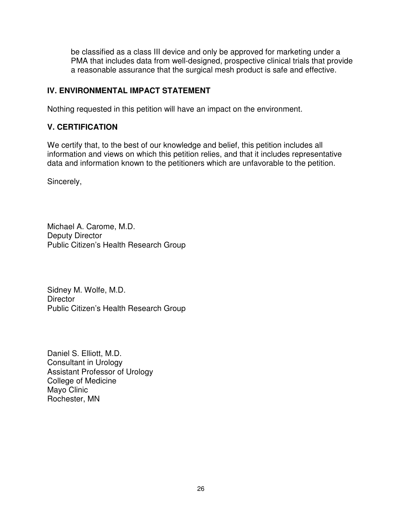be classified as a class III device and only be approved for marketing under a PMA that includes data from well-designed, prospective clinical trials that provide a reasonable assurance that the surgical mesh product is safe and effective.

## **IV. ENVIRONMENTAL IMPACT STATEMENT**

Nothing requested in this petition will have an impact on the environment.

# **V. CERTIFICATION**

We certify that, to the best of our knowledge and belief, this petition includes all information and views on which this petition relies, and that it includes representative data and information known to the petitioners which are unfavorable to the petition.

Sincerely,

Michael A. Carome, M.D. Deputy Director Public Citizen's Health Research Group

Sidney M. Wolfe, M.D. **Director** Public Citizen's Health Research Group

Daniel S. Elliott, M.D. Consultant in Urology Assistant Professor of Urology College of Medicine Mayo Clinic Rochester, MN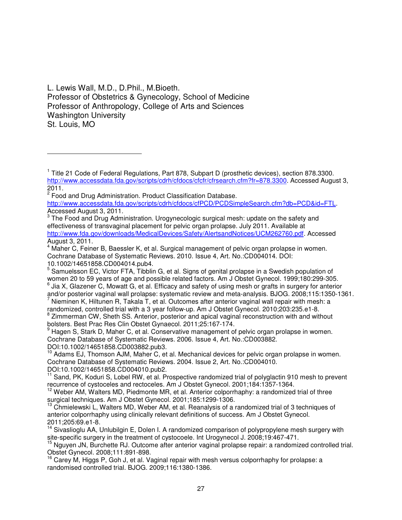L. Lewis Wall, M.D., D.Phil., M.Bioeth. Professor of Obstetrics & Gynecology, School of Medicine Professor of Anthropology, College of Arts and Sciences Washington University St. Louis, MO

l,

<sup>&</sup>lt;sup>1</sup> Title 21 Code of Federal Regulations, Part 878, Subpart D (prosthetic devices), section 878.3300. http://www.accessdata.fda.gov/scripts/cdrh/cfdocs/cfcfr/cfrsearch.cfm?fr=878.3300. Accessed August 3, 2011.

<sup>&</sup>lt;sup>2</sup> Food and Drug Administration. Product Classification Database.

http://www.accessdata.fda.gov/scripts/cdrh/cfdocs/cfPCD/PCDSimpleSearch.cfm?db=PCD&id=FTL. Accessed August 3, 2011.

 $3$  The Food and Drug Administration. Urogynecologic surgical mesh: update on the safety and effectiveness of transvaginal placement for pelvic organ prolapse. July 2011. Available at http://www.fda.gov/downloads/MedicalDevices/Safety/AlertsandNotices/UCM262760.pdf. Accessed August 3, 2011.

<sup>&</sup>lt;sup>4</sup> Maher C, Feiner B, Baessler K, et al. Surgical management of pelvic organ prolapse in women. Cochrane Database of Systematic Reviews. 2010. Issue 4, Art. No.:CD004014. DOI: 10.1002/14651858.CD004014.pub4.

<sup>&</sup>lt;sup>5</sup> Samuelsson EC, Victor FTA, Tibblin G, et al. Signs of genital prolapse in a Swedish population of women 20 to 59 years of age and possible related factors. Am J Obstet Gynecol. 1999;180:299-305.

<sup>&</sup>lt;sup>6</sup> Jia X, Glazener C, Mowatt G, et al. Efficacy and safety of using mesh or grafts in surgery for anterior and/or posterior vaginal wall prolapse: systematic review and meta-analysis. BJOG. 2008;115:1350-1361. 7

Nieminen K, Hiltunen R, Takala T, et al. Outcomes after anterior vaginal wall repair with mesh: a randomized, controlled trial with a 3 year follow-up. Am J Obstet Gynecol. 2010;203:235.e1-8.

<sup>&</sup>lt;sup>8</sup> Zimmerman CW, Sheth SS. Anterior, posterior and apical vaginal reconstruction with and without bolsters. Best Prac Res Clin Obstet Gynaecol. 2011;25:167-174.

<sup>&</sup>lt;sup>9</sup> Hagen S, Stark D, Maher C, et al. Conservative management of pelvic organ prolapse in women. Cochrane Database of Systematic Reviews. 2006. Issue 4, Art. No.:CD003882. DOI:10.1002/14651858.CD003882.pub3.

 $10$  Adams EJ, Thomson AJM, Maher C, et al. Mechanical devices for pelvic organ prolapse in women. Cochrane Database of Systematic Reviews. 2004. Issue 2, Art. No.:CD004010. DOI:10.1002/14651858.CD004010.pub2.

<sup>&</sup>lt;sup>11</sup> Sand, PK, Koduri S, Lobel RW, et al. Prospective randomized trial of polyglactin 910 mesh to prevent recurrence of cystoceles and rectoceles. Am J Obstet Gynecol. 2001;184:1357-1364.

<sup>&</sup>lt;sup>12</sup> Weber AM, Walters MD, Piedmonte MR, et al. Anterior colporrhaphy: a randomized trial of three surgical techniques. Am J Obstet Gynecol. 2001;185:1299-1306.

<sup>&</sup>lt;sup>13</sup> Chmielewski L, Walters MD, Weber AM, et al. Reanalysis of a randomized trial of 3 techniques of anterior colporrhaphy using clinically relevant definitions of success. Am J Obstet Gynecol. 2011;205:69.e1-8.

<sup>&</sup>lt;sup>14</sup> Sivaslioglu AA, Unlubilgin E, Dolen I. A randomized comparison of polypropylene mesh surgery with site-specific surgery in the treatment of cystocoele. Int Urogynecol J. 2008;19:467-471.

<sup>15</sup> Nguyen JN, Burchette RJ. Outcome after anterior vaginal prolapse repair: a randomized controlled trial. Obstet Gynecol. 2008;111:891-898.

Carey M, Higgs P, Goh J, et al. Vaginal repair with mesh versus colporrhaphy for prolapse: a randomised controlled trial. BJOG. 2009;116:1380-1386.